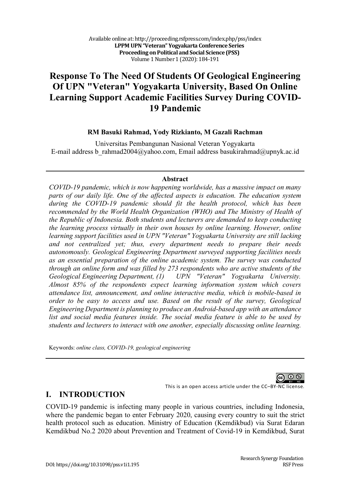# **Response To The Need Of Students Of Geological Engineering Of UPN "Veteran" Yogyakarta University, Based On Online Learning Support Academic Facilities Survey During COVID-19 Pandemic**

#### **RM Basuki Rahmad, Yody Rizkianto, M Gazali Rachman**

Universitas Pembangunan Nasional Veteran Yogyakarta E-mail address b\_rahmad2004@yahoo.com, Email address basukirahmad@upnyk.ac.id

#### **Abstract**

*COVID-19 pandemic, which is now happening worldwide, has a massive impact on many parts of our daily life. One of the affected aspects is education. The education system during the COVID-19 pandemic should fit the health protocol, which has been recommended by the World Health Organization (WHO) and The Ministry of Health of the Republic of Indonesia. Both students and lecturers are demanded to keep conducting the learning process virtually in their own houses by online learning. However, online learning support facilities used in UPN "Veteran" Yogyakarta University are still lacking and not centralized yet; thus, every department needs to prepare their needs autonomously. Geological Engineering Department surveyed supporting facilities needs as an essential preparation of the online academic system. The survey was conducted through an online form and was filled by 273 respondents who are active students of the Geological Engineering Department, (1) UPN "Veteran" Yogyakarta University. Almost 85% of the respondents expect learning information system which covers attendance list, announcement, and online interactive media, which is mobile-based in order to be easy to access and use. Based on the result of the survey, Geological Engineering Department is planning to produce an Android-based app with an attendance list and social media features inside. The social media feature is able to be used by students and lecturers to interact with one another, especially discussing online learning.*

Keywords: *online class, COVID-19, geological engineering*

 $\odot$ 

This is an open access article under the CC–BY-NC license.

### **I. INTRODUCTION**

COVID-19 pandemic is infecting many people in various countries, including Indonesia, where the pandemic began to enter February 2020, causing every country to suit the strict health protocol such as education. Ministry of Education (Kemdikbud) via Surat Edaran Kemdikbud No.2 2020 about Prevention and Treatment of Covid-19 in Kemdikbud, Surat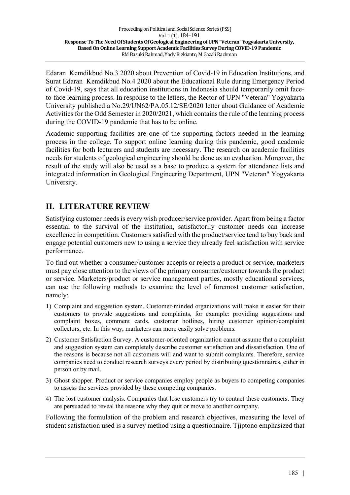Edaran Kemdikbud No.3 2020 about Prevention of Covid-19 in Education Institutions, and Surat Edaran Kemdikbud No.4 2020 about the Educational Rule during Emergency Period of Covid-19, says that all education institutions in Indonesia should temporarily omit faceto-face learning process. In response to the letters, the Rector of UPN "Veteran" Yogyakarta University published a No.29/UN62/PA.05.12/SE/2020 letter about Guidance of Academic Activities for the Odd Semester in 2020/2021, which contains the rule of the learning process during the COVID-19 pandemic that has to be online.

Academic-supporting facilities are one of the supporting factors needed in the learning process in the college. To support online learning during this pandemic, good academic facilities for both lecturers and students are necessary. The research on academic facilities needs for students of geological engineering should be done as an evaluation. Moreover, the result of the study will also be used as a base to produce a system for attendance lists and integrated information in Geological Engineering Department, UPN "Veteran" Yogyakarta University.

## **II. LITERATURE REVIEW**

Satisfying customer needs is every wish producer/service provider. Apart from being a factor essential to the survival of the institution, satisfactorily customer needs can increase excellence in competition. Customers satisfied with the product/service tend to buy back and engage potential customers new to using a service they already feel satisfaction with service performance.

To find out whether a consumer/customer accepts or rejects a product or service, marketers must pay close attention to the views of the primary consumer/customer towards the product or service. Marketers/product or service management parties, mostly educational services, can use the following methods to examine the level of foremost customer satisfaction, namely:

- 1) Complaint and suggestion system. Customer-minded organizations will make it easier for their customers to provide suggestions and complaints, for example: providing suggestions and complaint boxes, comment cards, customer hotlines, hiring customer opinion/complaint collectors, etc. In this way, marketers can more easily solve problems.
- 2) Customer Satisfaction Survey. A customer-oriented organization cannot assume that a complaint and suggestion system can completely describe customer satisfaction and dissatisfaction. One of the reasons is because not all customers will and want to submit complaints. Therefore, service companies need to conduct research surveys every period by distributing questionnaires, either in person or by mail.
- 3) Ghost shopper. Product or service companies employ people as buyers to competing companies to assess the services provided by these competing companies.
- 4) The lost customer analysis. Companies that lose customers try to contact these customers. They are persuaded to reveal the reasons why they quit or move to another company.

Following the formulation of the problem and research objectives, measuring the level of student satisfaction used is a survey method using a questionnaire. Tjiptono emphasized that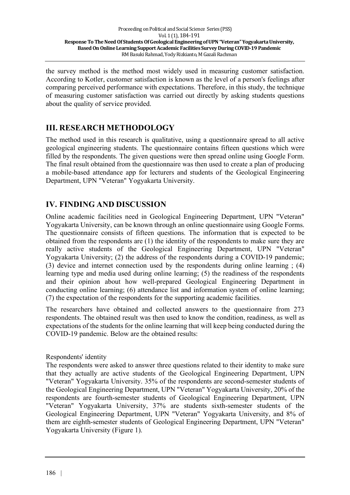the survey method is the method most widely used in measuring customer satisfaction. According to Kotler, customer satisfaction is known as the level of a person's feelings after comparing perceived performance with expectations. Therefore, in this study, the technique of measuring customer satisfaction was carried out directly by asking students questions about the quality of service provided.

## **III. RESEARCH METHODOLOGY**

The method used in this research is qualitative, using a questionnaire spread to all active geological engineering students. The questionnaire contains fifteen questions which were filled by the respondents. The given questions were then spread online using Google Form. The final result obtained from the questionnaire was then used to create a plan of producing a mobile-based attendance app for lecturers and students of the Geological Engineering Department, UPN "Veteran" Yogyakarta University.

## **IV. FINDING AND DISCUSSION**

Online academic facilities need in Geological Engineering Department, UPN "Veteran" Yogyakarta University, can be known through an online questionnaire using Google Forms. The questionnaire consists of fifteen questions. The information that is expected to be obtained from the respondents are (1) the identity of the respondents to make sure they are really active students of the Geological Engineering Department, UPN "Veteran" Yogyakarta University; (2) the address of the respondents during a COVID-19 pandemic; (3) device and internet connection used by the respondents during online learning ; (4) learning type and media used during online learning; (5) the readiness of the respondents and their opinion about how well-prepared Geological Engineering Department in conducting online learning; (6) attendance list and information system of online learning; (7) the expectation of the respondents for the supporting academic facilities.

The researchers have obtained and collected answers to the questionnaire from 273 respondents. The obtained result was then used to know the condition, readiness, as well as expectations of the students for the online learning that will keep being conducted during the COVID-19 pandemic. Below are the obtained results:

#### Respondents' identity

The respondents were asked to answer three questions related to their identity to make sure that they actually are active students of the Geological Engineering Department, UPN "Veteran" Yogyakarta University. 35% of the respondents are second-semester students of the Geological Engineering Department, UPN "Veteran" Yogyakarta University, 20% of the respondents are fourth-semester students of Geological Engineering Department, UPN "Veteran" Yogyakarta University, 37% are students sixth-semester students of the Geological Engineering Department, UPN "Veteran" Yogyakarta University, and 8% of them are eighth-semester students of Geological Engineering Department, UPN "Veteran" Yogyakarta University (Figure 1).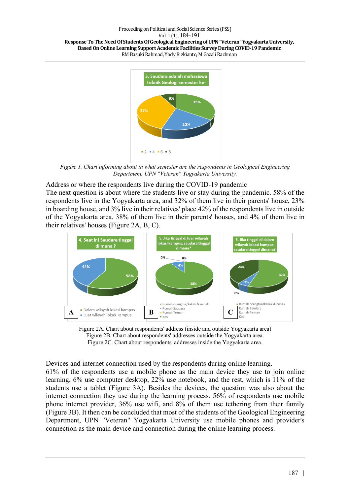Proceeding on Political and Social Science Series (PSS) Vol. 1 (1), 184-191 Response To The Need Of Students Of Geological Engineering of UPN "Veteran" Yogyakarta University, Based On Online Learning Support Academic Facilities Survey During COVID-19 Pandemic RM Basuki Rahmad, Yody Rizkianto, M Gazali Rachman



*Figure 1. Chart informing about in what semester are the respondents in Geological Engineering Department, UPN "Veteran" Yogyakarta University.*

Address or where the respondents live during the COVID-19 pandemic

The next question is about where the students live or stay during the pandemic. 58% of the respondents live in the Yogyakarta area, and 32% of them live in their parents' house, 23% in boarding house, and 3% live in their relatives' place.42% of the respondents live in outside of the Yogyakarta area. 38% of them live in their parents' houses, and 4% of them live in their relatives' houses (Figure 2A, B, C).



Figure 2A. Chart about respondents' address (inside and outside Yogyakarta area) Figure 2B. Chart about respondents' addresses outside the Yogyakarta area. Figure 2C. Chart about respondents' addresses inside the Yogyakarta area.

Devices and internet connection used by the respondents during online learning. 61% of the respondents use a mobile phone as the main device they use to join online learning, 6% use computer desktop, 22% use notebook, and the rest, which is 11% of the students use a tablet (Figure 3A). Besides the devices, the question was also about the internet connection they use during the learning process. 56% of respondents use mobile phone internet provider, 36% use wifi, and 8% of them use tethering from their family (Figure 3B). It then can be concluded that most of the students of the Geological Engineering Department, UPN "Veteran" Yogyakarta University use mobile phones and provider's connection as the main device and connection during the online learning process.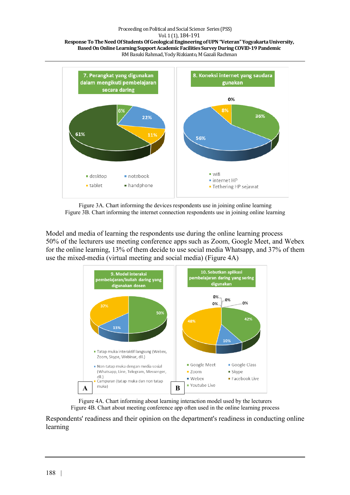#### Proceeding on Political and Social Science Series (PSS)

Vol. 1 (1), 184-191





Figure 3A. Chart informing the devices respondents use in joining online learning Figure 3B. Chart informing the internet connection respondents use in joining online learning

Model and media of learning the respondents use during the online learning process 50% of the lecturers use meeting conference apps such as Zoom, Google Meet, and Webex for the online learning, 13% of them decide to use social media Whatsapp, and 37% of them use the mixed-media (virtual meeting and social media) (Figure 4A)



![](_page_4_Figure_7.jpeg)

Respondents' readiness and their opinion on the department's readiness in conducting online learning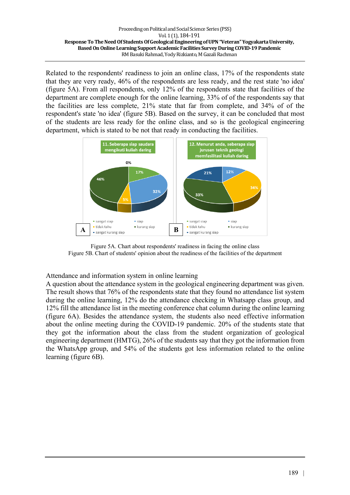Related to the respondents' readiness to join an online class, 17% of the respondents state that they are very ready, 46% of the respondents are less ready, and the rest state 'no idea' (figure 5A). From all respondents, only 12% of the respondents state that facilities of the department are complete enough for the online learning, 33% of of the respondents say that the facilities are less complete, 21% state that far from complete, and 34% of of the respondent's state 'no idea' (figure 5B). Based on the survey, it can be concluded that most of the students are less ready for the online class, and so is the geological engineering department, which is stated to be not that ready in conducting the facilities.

![](_page_5_Figure_2.jpeg)

Figure 5A. Chart about respondents' readiness in facing the online class Figure 5B. Chart of students' opinion about the readiness of the facilities of the department

Attendance and information system in online learning

A question about the attendance system in the geological engineering department was given. The result shows that 76% of the respondents state that they found no attendance list system during the online learning, 12% do the attendance checking in Whatsapp class group, and 12% fill the attendance list in the meeting conference chat column during the online learning (figure 6A). Besides the attendance system, the students also need effective information about the online meeting during the COVID-19 pandemic. 20% of the students state that they got the information about the class from the student organization of geological engineering department (HMTG), 26% of the students say that they got the information from the WhatsApp group, and 54% of the students got less information related to the online learning (figure 6B).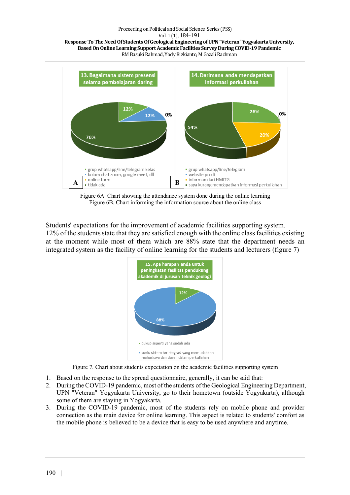#### Proceeding on Political and Social Science Series (PSS)

Vol. 1 (1), 184-191

Response To The Need Of Students Of Geological Engineering of UPN "Veteran" Yogyakarta University, Based On Online Learning Support Academic Facilities Survey During COVID-19 Pandemic RM Basuki Rahmad, Yody Rizkianto, M Gazali Rachman

![](_page_6_Figure_3.jpeg)

Figure 6A. Chart showing the attendance system done during the online learning Figure 6B. Chart informing the information source about the online class

Students' expectations for the improvement of academic facilities supporting system. 12% of the students state that they are satisfied enough with the online class facilities existing at the moment while most of them which are 88% state that the department needs an integrated system as the facility of online learning for the students and lecturers (figure 7)

![](_page_6_Figure_6.jpeg)

Figure 7. Chart about students expectation on the academic facilities supporting system

- 1. Based on the response to the spread questionnaire, generally, it can be said that:
- 2. During the COVID-19 pandemic, most of the students of the Geological Engineering Department, UPN "Veteran" Yogyakarta University, go to their hometown (outside Yogyakarta), although some of them are staying in Yogyakarta.
- 3. During the COVID-19 pandemic, most of the students rely on mobile phone and provider connection as the main device for online learning. This aspect is related to students' comfort as the mobile phone is believed to be a device that is easy to be used anywhere and anytime.